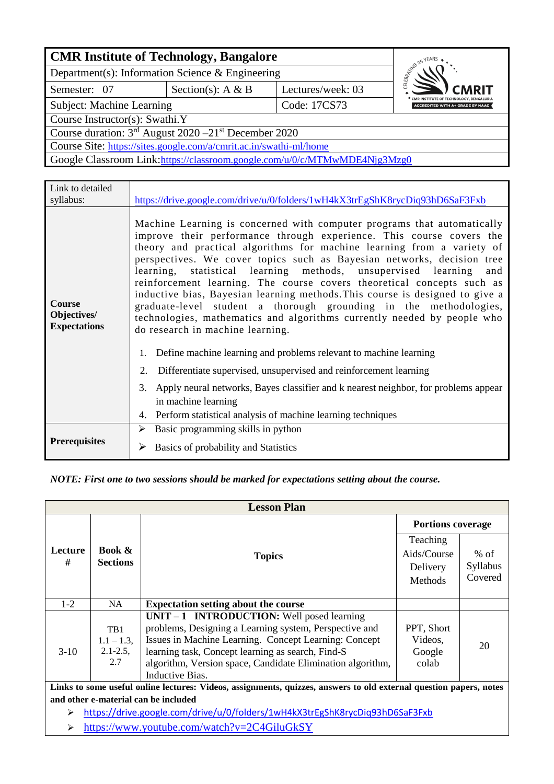| <b>CMR Institute of Technology, Bangalore</b>                              |              |                                                                                    |  |  |  |  |  |  |
|----------------------------------------------------------------------------|--------------|------------------------------------------------------------------------------------|--|--|--|--|--|--|
| Department(s): Information Science & Engineering                           |              | <b>CONTRACTED</b>                                                                  |  |  |  |  |  |  |
| Semester: 07                                                               | <b>CMRIT</b> |                                                                                    |  |  |  |  |  |  |
| Subject: Machine Learning                                                  | Code: 17CS73 | CMR INSTITUTE OF TECHNOLOGY, BENGALURU.<br><b>ACCREDITED WITH A+ GRADE BY NAAC</b> |  |  |  |  |  |  |
| Course Instructor(s): Swathi.Y                                             |              |                                                                                    |  |  |  |  |  |  |
| Course duration: $3rd$ August 2020 -21 <sup>st</sup> December 2020         |              |                                                                                    |  |  |  |  |  |  |
| Course Site: https://sites.google.com/a/cmrit.ac.in/swathi-ml/home         |              |                                                                                    |  |  |  |  |  |  |
| Google Classroom Link: https://classroom.google.com/u/0/c/MTMwMDE4Njg3Mzg0 |              |                                                                                    |  |  |  |  |  |  |
|                                                                            |              |                                                                                    |  |  |  |  |  |  |

| Link to detailed                             |                                                                                                                                                                                                                                                                                                                                                                                                                                                                                                                                                                                                                                                                                                                                                                                                                                                                                                                                                                                                  |
|----------------------------------------------|--------------------------------------------------------------------------------------------------------------------------------------------------------------------------------------------------------------------------------------------------------------------------------------------------------------------------------------------------------------------------------------------------------------------------------------------------------------------------------------------------------------------------------------------------------------------------------------------------------------------------------------------------------------------------------------------------------------------------------------------------------------------------------------------------------------------------------------------------------------------------------------------------------------------------------------------------------------------------------------------------|
| syllabus:                                    | https://drive.google.com/drive/u/0/folders/1wH4kX3trEgShK8rycDiq93hD6SaF3Fxb                                                                                                                                                                                                                                                                                                                                                                                                                                                                                                                                                                                                                                                                                                                                                                                                                                                                                                                     |
| Course<br>Objectives/<br><b>Expectations</b> | Machine Learning is concerned with computer programs that automatically<br>improve their performance through experience. This course covers the<br>theory and practical algorithms for machine learning from a variety of<br>perspectives. We cover topics such as Bayesian networks, decision tree<br>learning, statistical learning methods, unsupervised learning and<br>reinforcement learning. The course covers theoretical concepts such as<br>inductive bias, Bayesian learning methods. This course is designed to give a<br>graduate-level student a thorough grounding in the methodologies,<br>technologies, mathematics and algorithms currently needed by people who<br>do research in machine learning.<br>Define machine learning and problems relevant to machine learning<br>1.<br>Differentiate supervised, unsupervised and reinforcement learning<br>2.<br>Apply neural networks, Bayes classifier and k nearest neighbor, for problems appear<br>3.<br>in machine learning |
|                                              | 4. Perform statistical analysis of machine learning techniques                                                                                                                                                                                                                                                                                                                                                                                                                                                                                                                                                                                                                                                                                                                                                                                                                                                                                                                                   |
|                                              | Basic programming skills in python<br>➤                                                                                                                                                                                                                                                                                                                                                                                                                                                                                                                                                                                                                                                                                                                                                                                                                                                                                                                                                          |
| <b>Prerequisites</b>                         | Basics of probability and Statistics                                                                                                                                                                                                                                                                                                                                                                                                                                                                                                                                                                                                                                                                                                                                                                                                                                                                                                                                                             |

#### *NOTE: First one to two sessions should be marked for expectations setting about the course.*

| <b>Lesson Plan</b>                                                                      |                          |  |  |  |  |  |  |  |  |
|-----------------------------------------------------------------------------------------|--------------------------|--|--|--|--|--|--|--|--|
|                                                                                         | <b>Portions coverage</b> |  |  |  |  |  |  |  |  |
| Teaching                                                                                |                          |  |  |  |  |  |  |  |  |
| <b>Book &amp;</b><br>Lecture<br>Aids/Course<br><b>Topics</b>                            | $%$ of                   |  |  |  |  |  |  |  |  |
| #<br><b>Sections</b><br>Delivery                                                        | Syllabus                 |  |  |  |  |  |  |  |  |
| Methods                                                                                 | Covered                  |  |  |  |  |  |  |  |  |
|                                                                                         |                          |  |  |  |  |  |  |  |  |
| $1 - 2$<br>NA<br><b>Expectation setting about the course</b>                            |                          |  |  |  |  |  |  |  |  |
| UNIT $-1$ INTRODUCTION: Well posed learning                                             |                          |  |  |  |  |  |  |  |  |
| problems, Designing a Learning system, Perspective and<br>PPT, Short<br>TB <sub>1</sub> |                          |  |  |  |  |  |  |  |  |
| Issues in Machine Learning. Concept Learning: Concept<br>Videos,<br>$1.1 - 1.3$ ,       | 20                       |  |  |  |  |  |  |  |  |
| $2.1 - 2.5$ ,<br>learning task, Concept learning as search, Find-S<br>$3-10$<br>Google  |                          |  |  |  |  |  |  |  |  |
| 2.7<br>algorithm, Version space, Candidate Elimination algorithm,<br>colab              |                          |  |  |  |  |  |  |  |  |
| Inductive Bias.                                                                         |                          |  |  |  |  |  |  |  |  |

**Links to some useful online lectures: Videos, assignments, quizzes, answers to old external question papers, notes and other e-material can be included**

<https://drive.google.com/drive/u/0/folders/1wH4kX3trEgShK8rycDiq93hD6SaF3Fxb>

<https://www.youtube.com/watch?v=2C4GiluGkSY>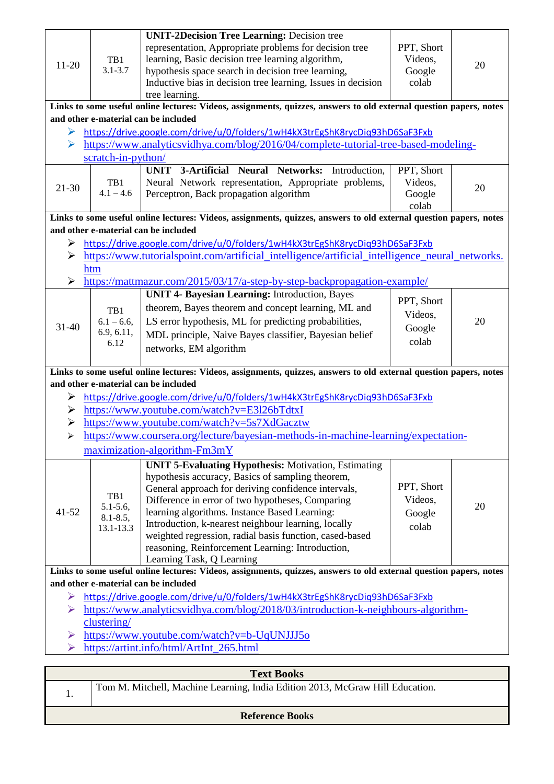|                       |                                                                                                                                                            | <b>UNIT-2Decision Tree Learning: Decision tree</b>                                                                 |            |    |  |  |  |  |
|-----------------------|------------------------------------------------------------------------------------------------------------------------------------------------------------|--------------------------------------------------------------------------------------------------------------------|------------|----|--|--|--|--|
|                       |                                                                                                                                                            | representation, Appropriate problems for decision tree                                                             | PPT, Short |    |  |  |  |  |
| $11-20$               | TB1                                                                                                                                                        | learning, Basic decision tree learning algorithm,                                                                  | Videos,    | 20 |  |  |  |  |
|                       | $3.1 - 3.7$                                                                                                                                                | hypothesis space search in decision tree learning,                                                                 | Google     |    |  |  |  |  |
|                       |                                                                                                                                                            | Inductive bias in decision tree learning, Issues in decision                                                       | colab      |    |  |  |  |  |
|                       |                                                                                                                                                            | tree learning.                                                                                                     |            |    |  |  |  |  |
|                       | Links to some useful online lectures: Videos, assignments, quizzes, answers to old external question papers, notes<br>and other e-material can be included |                                                                                                                    |            |    |  |  |  |  |
|                       |                                                                                                                                                            |                                                                                                                    |            |    |  |  |  |  |
| ➤                     |                                                                                                                                                            | https://drive.google.com/drive/u/0/folders/1wH4kX3trEgShK8rycDiq93hD6SaF3Fxb                                       |            |    |  |  |  |  |
| ➤                     |                                                                                                                                                            | https://www.analyticsvidhya.com/blog/2016/04/complete-tutorial-tree-based-modeling-                                |            |    |  |  |  |  |
|                       | scratch-in-python/                                                                                                                                         |                                                                                                                    |            |    |  |  |  |  |
|                       |                                                                                                                                                            | 3-Artificial Neural Networks: Introduction,<br><b>UNIT</b>                                                         | PPT, Short |    |  |  |  |  |
| 21-30                 | TB1                                                                                                                                                        | Neural Network representation, Appropriate problems,                                                               | Videos,    | 20 |  |  |  |  |
|                       | $4.1 - 4.6$                                                                                                                                                | Perceptron, Back propagation algorithm                                                                             | Google     |    |  |  |  |  |
|                       |                                                                                                                                                            |                                                                                                                    | colab      |    |  |  |  |  |
|                       |                                                                                                                                                            | Links to some useful online lectures: Videos, assignments, quizzes, answers to old external question papers, notes |            |    |  |  |  |  |
|                       |                                                                                                                                                            | and other e-material can be included                                                                               |            |    |  |  |  |  |
| ➤                     |                                                                                                                                                            | https://drive.google.com/drive/u/0/folders/1wH4kX3trEgShK8rycDiq93hD6SaF3Fxb                                       |            |    |  |  |  |  |
| ≻                     |                                                                                                                                                            | https://www.tutorialspoint.com/artificial_intelligence/artificial_intelligence_neural_networks.                    |            |    |  |  |  |  |
|                       | htm                                                                                                                                                        |                                                                                                                    |            |    |  |  |  |  |
| ➤                     |                                                                                                                                                            | https://mattmazur.com/2015/03/17/a-step-by-step-backpropagation-example/                                           |            |    |  |  |  |  |
|                       |                                                                                                                                                            | <b>UNIT 4- Bayesian Learning: Introduction, Bayes</b>                                                              | PPT, Short |    |  |  |  |  |
|                       | TB1                                                                                                                                                        | theorem, Bayes theorem and concept learning, ML and                                                                | Videos,    |    |  |  |  |  |
| $31 - 40$             | $6.1 - 6.6$ ,                                                                                                                                              | LS error hypothesis, ML for predicting probabilities,                                                              | Google     | 20 |  |  |  |  |
|                       | 6.9, 6.11,                                                                                                                                                 | MDL principle, Naive Bayes classifier, Bayesian belief                                                             |            |    |  |  |  |  |
|                       | 6.12                                                                                                                                                       | networks, EM algorithm                                                                                             | colab      |    |  |  |  |  |
|                       |                                                                                                                                                            |                                                                                                                    |            |    |  |  |  |  |
|                       |                                                                                                                                                            |                                                                                                                    |            |    |  |  |  |  |
|                       |                                                                                                                                                            | Links to some useful online lectures: Videos, assignments, quizzes, answers to old external question papers, notes |            |    |  |  |  |  |
|                       |                                                                                                                                                            | and other e-material can be included                                                                               |            |    |  |  |  |  |
| ➤                     |                                                                                                                                                            | https://drive.google.com/drive/u/0/folders/1wH4kX3trEgShK8rycDiq93hD6SaF3Fxb                                       |            |    |  |  |  |  |
| ➤                     |                                                                                                                                                            | https://www.youtube.com/watch?v=E3l26bTdtxI                                                                        |            |    |  |  |  |  |
| $\blacktriangleright$ |                                                                                                                                                            | https://www.youtube.com/watch?v=5s7XdGacztw                                                                        |            |    |  |  |  |  |
| $\blacktriangleright$ |                                                                                                                                                            | https://www.coursera.org/lecture/bayesian-methods-in-machine-learning/expectation-                                 |            |    |  |  |  |  |
|                       |                                                                                                                                                            | maximization-algorithm-Fm3mY                                                                                       |            |    |  |  |  |  |
|                       |                                                                                                                                                            |                                                                                                                    |            |    |  |  |  |  |
|                       |                                                                                                                                                            | <b>UNIT 5-Evaluating Hypothesis: Motivation, Estimating</b><br>hypothesis accuracy, Basics of sampling theorem,    |            |    |  |  |  |  |
|                       |                                                                                                                                                            | General approach for deriving confidence intervals,                                                                | PPT, Short |    |  |  |  |  |
|                       | TB1                                                                                                                                                        | Difference in error of two hypotheses, Comparing                                                                   | Videos,    |    |  |  |  |  |
| $41 - 52$             | $5.1 - 5.6$ ,                                                                                                                                              | learning algorithms. Instance Based Learning:                                                                      | Google     | 20 |  |  |  |  |
|                       | $8.1 - 8.5$ ,                                                                                                                                              | Introduction, k-nearest neighbour learning, locally                                                                | colab      |    |  |  |  |  |
|                       | 13.1-13.3                                                                                                                                                  | weighted regression, radial basis function, cased-based                                                            |            |    |  |  |  |  |
|                       |                                                                                                                                                            | reasoning, Reinforcement Learning: Introduction,                                                                   |            |    |  |  |  |  |
|                       |                                                                                                                                                            | Learning Task, Q Learning                                                                                          |            |    |  |  |  |  |
|                       |                                                                                                                                                            | Links to some useful online lectures: Videos, assignments, quizzes, answers to old external question papers, notes |            |    |  |  |  |  |
|                       |                                                                                                                                                            | and other e-material can be included                                                                               |            |    |  |  |  |  |
| ➤                     |                                                                                                                                                            | https://drive.google.com/drive/u/0/folders/1wH4kX3trEgShK8rycDiq93hD6SaF3Fxb                                       |            |    |  |  |  |  |
| ➤                     |                                                                                                                                                            | https://www.analyticsvidhya.com/blog/2018/03/introduction-k-neighbours-algorithm-                                  |            |    |  |  |  |  |
|                       | clustering/                                                                                                                                                |                                                                                                                    |            |    |  |  |  |  |
| ➤                     |                                                                                                                                                            | https://www.youtube.com/watch?v=b-UqUNJJJ5o                                                                        |            |    |  |  |  |  |
| ⋗                     |                                                                                                                                                            | https://artint.info/html/ArtInt_265.html                                                                           |            |    |  |  |  |  |

|                        | <b>Text Books</b>                                                             |  |  |  |  |  |  |  |
|------------------------|-------------------------------------------------------------------------------|--|--|--|--|--|--|--|
| . .                    | Tom M. Mitchell, Machine Learning, India Edition 2013, McGraw Hill Education. |  |  |  |  |  |  |  |
| <b>Reference Books</b> |                                                                               |  |  |  |  |  |  |  |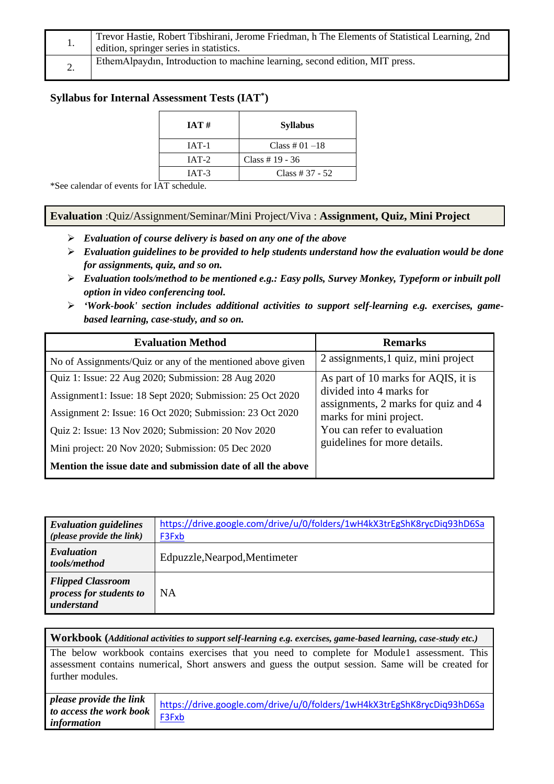|    | Trevor Hastie, Robert Tibshirani, Jerome Friedman, h The Elements of Statistical Learning, 2nd<br>edition, springer series in statistics. |  |  |  |  |  |
|----|-------------------------------------------------------------------------------------------------------------------------------------------|--|--|--|--|--|
| ٠. | EthemAlpaydin, Introduction to machine learning, second edition, MIT press.                                                               |  |  |  |  |  |

# **Syllabus for Internal Assessment Tests (IAT\* )**

| IAT#    | <b>Syllabus</b>   |
|---------|-------------------|
| $IAT-1$ | Class # $01 - 18$ |
| $IAT-2$ | Class # $19 - 36$ |
| $IAT-3$ | Class # $37 - 52$ |

\*See calendar of events for IAT schedule.

#### **Evaluation** :Quiz/Assignment/Seminar/Mini Project/Viva : **Assignment, Quiz, Mini Project**

- *Evaluation of course delivery is based on any one of the above*
- *Evaluation guidelines to be provided to help students understand how the evaluation would be done for assignments, quiz, and so on.*
- *Evaluation tools/method to be mentioned e.g.: Easy polls, Survey Monkey, Typeform or inbuilt poll option in video conferencing tool.*
- *'Work-book' section includes additional activities to support self-learning e.g. exercises, gamebased learning, case-study, and so on.*

| <b>Evaluation Method</b>                                    | <b>Remarks</b>                                                  |  |  |  |  |  |  |
|-------------------------------------------------------------|-----------------------------------------------------------------|--|--|--|--|--|--|
| No of Assignments/Quiz or any of the mentioned above given  | 2 assignments, 1 quiz, mini project                             |  |  |  |  |  |  |
| Quiz 1: Issue: 22 Aug 2020; Submission: 28 Aug 2020         | As part of 10 marks for AQIS, it is                             |  |  |  |  |  |  |
| Assignment1: Issue: 18 Sept 2020; Submission: 25 Oct 2020   | divided into 4 marks for<br>assignments, 2 marks for quiz and 4 |  |  |  |  |  |  |
| Assignment 2: Issue: 16 Oct 2020; Submission: 23 Oct 2020   | marks for mini project.                                         |  |  |  |  |  |  |
| Quiz 2: Issue: 13 Nov 2020; Submission: 20 Nov 2020         | You can refer to evaluation                                     |  |  |  |  |  |  |
| Mini project: 20 Nov 2020; Submission: 05 Dec 2020          | guidelines for more details.                                    |  |  |  |  |  |  |
| Mention the issue date and submission date of all the above |                                                                 |  |  |  |  |  |  |

| <b>Evaluation guidelines</b><br>( <i>please provide the link</i> ) | https://drive.google.com/drive/u/0/folders/1wH4kX3trEgShK8rycDiq93hD6Sa<br>F3Fxb |
|--------------------------------------------------------------------|----------------------------------------------------------------------------------|
| Evaluation<br>tools/method                                         | Edpuzzle, Nearpod, Mentimeter                                                    |
| <b>Flipped Classroom</b><br>process for students to<br>understand  | <b>NA</b>                                                                        |

**Workbook (***Additional activities to support self-learning e.g. exercises, game-based learning, case-study etc.)*

The below workbook contains exercises that you need to complete for Module1 assessment. This assessment contains numerical, Short answers and guess the output session. Same will be created for further modules.

|                         | please provide the link $\vert$ https://drive.google.com/drive/u/0/folders/1wH4kX3trEgShK8rycDiq93hD6Sa |
|-------------------------|---------------------------------------------------------------------------------------------------------|
| to access the work book | F3Fxb                                                                                                   |
| information             |                                                                                                         |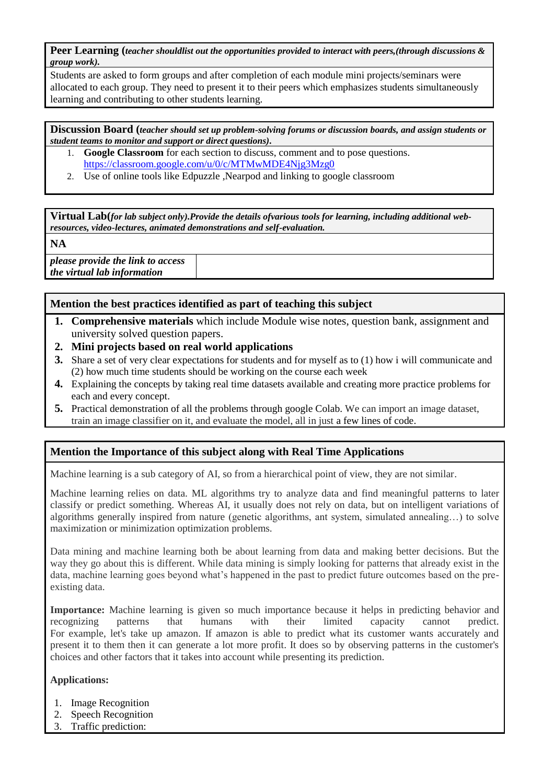**Peer Learning (***teacher shouldlist out the opportunities provided to interact with peers,(through discussions & group work).*

Students are asked to form groups and after completion of each module mini projects/seminars were allocated to each group. They need to present it to their peers which emphasizes students simultaneously learning and contributing to other students learning.

**Discussion Board (***teacher should set up problem-solving forums or discussion boards, and assign students or student teams to monitor and support or direct questions).*

- 1. **Google Classroom** for each section to discuss, comment and to pose questions. <https://classroom.google.com/u/0/c/MTMwMDE4Njg3Mzg0>
- 2. Use of online tools like Edpuzzle ,Nearpod and linking to google classroom

**Virtual Lab(***for lab subject only).Provide the details ofvarious tools for learning, including additional webresources, video-lectures, animated demonstrations and self-evaluation.*

**NA**

*please provide the link to access the virtual lab information*

### **Mention the best practices identified as part of teaching this subject**

- **1. Comprehensive materials** which include Module wise notes, question bank, assignment and university solved question papers.
- **2. Mini projects based on real world applications**
- **3.** Share a set of very clear expectations for students and for myself as to (1) how i will communicate and (2) how much time students should be working on the course each week
- **4.** Explaining the concepts by taking real time datasets available and creating more practice problems for each and every concept.
- **5.** Practical demonstration of all the problems through google Colab. We can import an image dataset, train an image classifier on it, and evaluate the model, all in just [a few lines of code.](https://colab.research.google.com/github/tensorflow/docs/blob/master/site/en/tutorials/quickstart/beginner.ipynb)

# **Mention the Importance of this subject along with Real Time Applications**

Machine learning is a sub category of AI, so from a hierarchical point of view, they are not similar.

Machine learning relies on data. ML algorithms try to analyze data and find meaningful patterns to later classify or predict something. Whereas AI, it usually does not rely on data, but on intelligent variations of algorithms generally inspired from nature (genetic algorithms, ant system, simulated annealing…) to solve maximization or minimization optimization problems.

Data mining and machine learning both be about learning from data and making better decisions. But the way they go about this is different. While data mining is simply looking for patterns that already exist in the data, machine learning goes beyond what's happened in the past to predict future outcomes based on the preexisting data.

**Importance:** Machine learning is given so much importance because it helps in predicting behavior and recognizing patterns that humans with their limited capacity cannot predict. For example, let's take up amazon. If amazon is able to predict what its customer wants accurately and present it to them then it can generate a lot more profit. It does so by observing patterns in the customer's choices and other factors that it takes into account while presenting its prediction.

#### **Applications:**

- 1. Image Recognition
- 2. Speech Recognition
- 3. Traffic prediction: